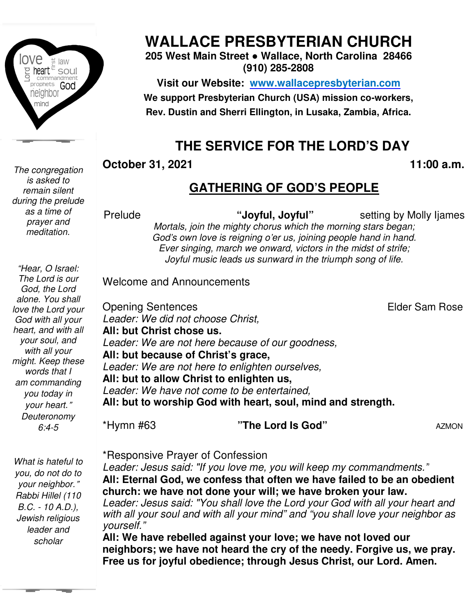$\frac{1}{10}$  law  $\frac{1}{2}$  soul heart commandment commandment neighbor mind

*The congregation is asked to remain silent during the prelude as a time of prayer and meditation.* 

**WALLACE PRESBYTERIAN CHURCH**

**205 West Main Street ● Wallace, North Carolina 28466 (910) 285-2808** 

**Visit our Website: www.wallacepresbyterian.com** We support Presbyterian Church (USA) mission co-workers, **Rev. Dustin and Sherri Ellington, in Lusaka, Zambia, Africa. Sherri Ellington,** 

# **THE SERVICE FOR THE LORD'S DAY**

### **October 31, 2021**

#### **11:00 a.m.**

### **GATHERING OF OF GOD'S PEOPLE**

Prelude *Mortals, join the mighty chorus which the morning stars began; Mortals, join the mighty chorus which the morning stars began;*<br>God's own love is reigning o'er us, joining people hand in hand. Ever singing, march we onward, victors in the midst of strife; *Joyful music leads us sunward in the triumph song of life.* **"Joyful, Joyful"** setting by Molly Ijames

*"Hear, O Israel: The Lord is our God, the Lord alone. You shall love the Lord your God with all your heart, and with all your soul, and with all your might. Keep these words that I am commanding you today in your heart.*" *Deuteronomy 6:4-5* 

 *leader and What is hateful to you, do not do to your neighbor.*" *Rabbi Hillel (110 B.C. - 10 A.D.), Jewish religious scholar* 

Opening Sentences *Leader: We did not choose Christ,* **All: but Christ chose us.** *Leader: We are not here because of our goodness,* **All: but because of Christ's grace,** *Leader: We did not choose Christ,<br>All: but Christ chose us.<br><i>Leader: We are not here because of our goodne*<br>**All: but because of Christ's grace,**<br>*Leader: We are not here to enlighten ourselves,* **All: but to allow Christ to enlighten us,** Leader: We have not come to be entertained, All: but to worship God with heart, soul, mind and strength. Elder Sam Rose Sam

\*Responsive Prayer of Confession Prayer *Leader: Jesus said: "If you love me, you will keep my commandments."* **All: Eternal God, we confess that often we have failed to be an obedient have** All: Eternal God, we confess that often we have failed to be an<br>church: we have not done your will; we have broken your law. Leader: Jesus said: "You shall love the Lord your God with all your heart and Leader: Jesus said: "You shall love the Lord your God with all your heart and<br>with all your soul and with all your mind" and "you shall love your neighbor as *yourself."* **All: We have rebelled against your love; we have not loved our**  neighbors; we have not heard the cry of the needy. Forgive us, we pray. **Free us for joyful obedience; through Jesus Christ, our Lord. Amen.** 11:00 a.m.<br> **us for all 11:00 a.m.**<br> **USATHERING OF GOD'S PEOPLE**<br> **users** and the morphy chorus which the morning stars began;<br>
Mortals, join the mighty chorus which the morning stars began;<br> *Corts own love is relating o* 

Welcome and Announcements and Announcements

\*Hymn #63

**"The Lord Is God"** 

AZMON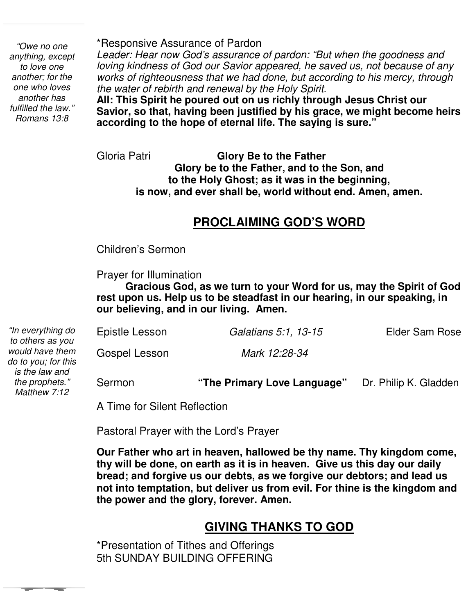*"Owe no one anything, except to love one another; for the one who loves another has fulfilled the law." Romans 13:8* 

\*Responsive Assurance of Pardon

*Leader: Hear now God's assurance of pardon: "But when the goodness and loving kindness of God our Savior appeared, he saved us, not because of any works of righteousness that we had done, but according to his mercy, through the water of rebirth and renewal by the Holy Spirit.*

**All: This Spirit he poured out on us richly through Jesus Christ our Savior, so that, having been justified by his grace, we might become heirs according to the hope of eternal life. The saying is sure."** 

Gloria Patri **Glory Be to the Father Glory be to the Father, and to the Son, and to the Holy Ghost; as it was in the beginning, is now, and ever shall be, world without end. Amen, amen.** 

### **PROCLAIMING GOD'S WORD**

 Children's Sermon Î.

Prayer for Illumination

 **Gracious God, as we turn to your Word for us, may the Spirit of God rest upon us. Help us to be steadfast in our hearing, in our speaking, in our believing, and in our living. Amen.**

| "In everything do<br>to others as you            | Epistle Lesson | Galatians 5:1, 13-15        | Elder Sam Rose        |
|--------------------------------------------------|----------------|-----------------------------|-----------------------|
| would have them<br>do to you; for this           | Gospel Lesson  | Mark 12:28-34               |                       |
| is the law and<br>the prophets."<br>Matthew 7:12 | Sermon         | "The Primary Love Language" | Dr. Philip K. Gladden |
|                                                  |                |                             |                       |

A Time for Silent Reflection

Pastoral Prayer with the Lord's Prayer

.<br>م **Our Father who art in heaven, hallowed be thy name. Thy kingdom come, thy will be done, on earth as it is in heaven. Give us this day our daily bread; and forgive us our debts, as we forgive our debtors; and lead us not into temptation, but deliver us from evil. For thine is the kingdom and the power and the glory, forever. Amen.** 

## **GIVING THANKS TO GOD**

\*Presentation of Tithes and Offerings 5th SUNDAY BUILDING OFFERING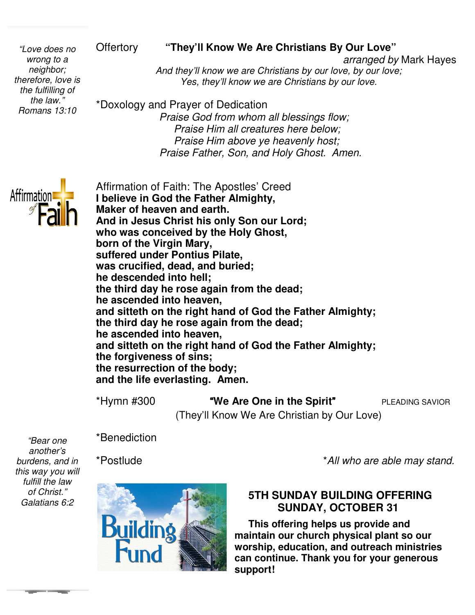### Offertory **"They'll Know We Are Christians By Our Love" Christians**

arranged by Mark Hayes

*"Love does no wrong to a neighbor; therefore, love is the fulfilling of the law." Romans 13:10* 

And they'll know we are Christians by our love, by our love; Yes, they'll know we are Christians by our love.

\*Doxology and Prayer of Dedication *Praise God from whom all blessings flow; Praise Him all creatures here below; Praise Him all creatures here below;<br>Praise Him above ye heavenly host; Praise Father, Son, and Holy Ghost. Amen.*



*"Bear one another's burdens, and in this way you will fulfill the law of Christ." Galatians 6:2* 

Affirmation of Faith: The Apostles' Creed **I believe in God the Father Almighty, Maker of heaven and earth. And in Jesus Christ his only Son our Lord; who was conceived by the Holy Ghost, born of the Virgin Mary, suffered under Pontius Pilate, was crucified, dead, and buried; he descended into hell;** the third day he rose again from the dead; **he ascended into heaven, and sitteth on the right hand of God the Father Almighty; the third day he rose again from the dead; he ascended into heaven, and sitteth on the right hand of God the Father Almighty; the forgiveness of sins; the resurrection of the body; and the life everlasting. Amen.**  heaven and earth.<br>**:sus Christ his only Son our Lord;**<br>conceived by the Holy Ghost, ascended into heaven,<br>**I sitteth on the right hand of God the** Father<br><sup>I</sup> third day he rose again from the dead; ascended into heaven,<br>**d sitteth on the right hand of God the Father**<br>· forgiveness of sins;<br>· resurrection of the body;

\*Hymn #300 **We Are One in the Spirit"** PLEADING SAVIOR (They'll Know We Are Christian by Our Love)

\*Benediction

\*Postlude



\**All who are able may stand.*

### **5TH SUNDAY BUILDING OFFERING SUNDAY, OCTOBER 31**

 **This offering helps us provide and maintain our church physical plant so our worship, education, and outreach ministries**  maintain our church physical plant so our<br>worship, education, and outreach ministries<br>can continue. Thank you for your generous **support!**